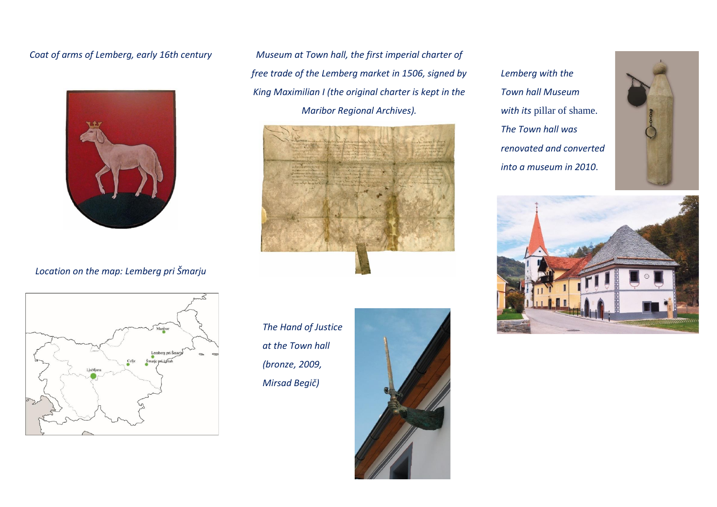## *Coat of arms of Lemberg, early 16th century*



## *Location on the map: Lemberg pri Šmarju*

*Museum at Town hall, the first imperial charter of free trade of the Lemberg market in 1506, signed by King Maximilian I (the original charter is kept in the Maribor Regional Archives).*



*The Hand of Justice at the Town hall (bronze, 2009, Mirsad Begič)*



*Lemberg with the Town hall Museum with its* pillar of shame. *The Town hall was renovated and converted into a museum in 2010*.